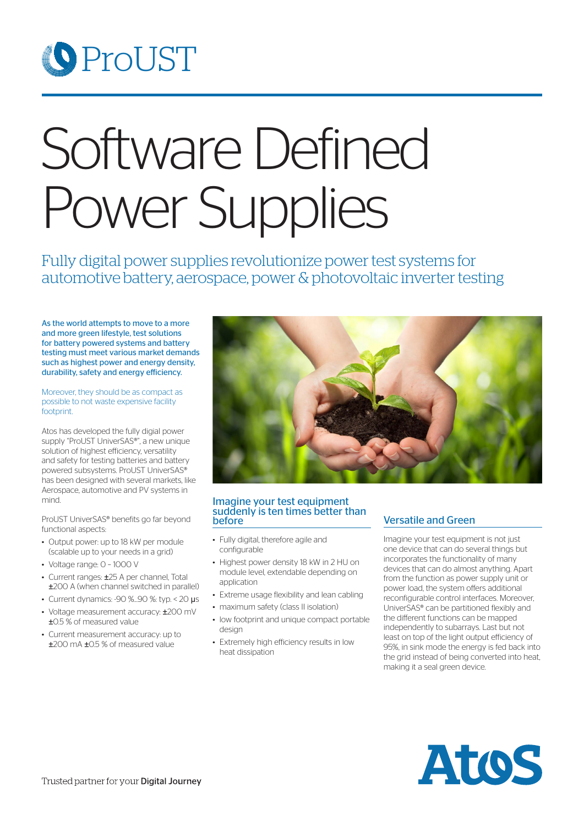## **O** ProUST

# Software Defined Power Supplies

Fully digital power supplies revolutionize power test systems for automotive battery, aerospace, power & photovoltaic inverter testing

As the world attempts to move to a more and more green lifestyle, test solutions for battery powered systems and battery testing must meet various market demands such as highest power and energy density, durability, safety and energy efficiency.

#### Moreover, they should be as compact as possible to not waste expensive facility footprint.

Atos has developed the fully digial power supply "ProUST UniverSAS®", a new unique solution of highest efficiency, versatility and safety for testing batteries and battery powered subsystems. ProUST UniverSAS® has been designed with several markets, like Aerospace, automotive and PV systems in mind.

ProUST UniverSAS® benefits go far beyond functional aspects:

- Output power: up to 18 kW per module (scalable up to your needs in a grid)
- Voltage range: 0 1000 V
- Current ranges: ±25 A per channel. Total ±200 A (when channel switched in parallel)
- Current dynamics: -90  $\%$ ...90  $\%$ : typ. < 20  $\mu$ s
- Voltage measurement accuracy: ±200 mV ±0.5 % of measured value
- Current measurement accuracy: up to ±200 mA ±0.5 % of measured value



#### Imagine your test equipment suddenly is ten times better than before

- Fully digital, therefore agile and configurable
- Highest power density 18 kW in 2 HU on module level, extendable depending on application
- Extreme usage flexibility and lean cabling
- maximum safety (class II isolation)
- low footprint and unique compact portable desian
- Extremely high efficiency results in low heat dissipation

#### Versatile and Green

Imagine your test equipment is not just one device that can do several things but incorporates the functionality of many devices that can do almost anything. Apart from the function as power supply unit or power load, the system offers additional reconfigurable control interfaces. Moreover, UniverSAS® can be partitioned flexibly and the different functions can be mapped independently to subarrays. Last but not least on top of the light output efficiency of 95%, in sink mode the energy is fed back into the grid instead of being converted into heat, making it a seal green device.